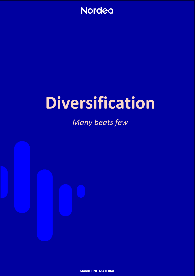

# **Diversification**

## *Many beats few*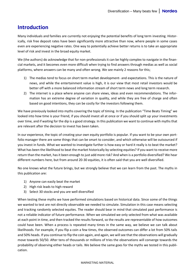## **Introduction**

Many individuals and families are currently not enjoying the potential benefits of long term investing. Historically, risk free deposit rates have been significantly more attractive than now, where people in some cases even are experiencing negative rates. One way to potentially achieve better returns is to take an appropriate level of risk and invest in the broad equity market.

We (the authors) do acknowledge that for non-professionals it can be highly complex to navigate in the financial markets, and it becomes even more difficult when trying to find answers through medias as well as social platforms, where answers can be many and often wrong. We see mainly 2 reasons for this;

- 1) The medias tend to focus on short term market development- and expectations. This is the nature of news, and while the entertainment value is high, it is our view that most retail investors would be better off with a more balanced information stream of short term news and long term research.
- 2) The internet is a place where anyone can share views, ideas and even recommendations. The information has an extreme degree of variation in quality, and while they are free of charge and often based on good intentions, they can be costly for the investors following them.

We have previously looked into myths covering the topic of timing. In the publication "Time Beats Timing" we looked into how time is your friend, if you should invest all at once or if you should split up your investments over time, and if waiting for the dip is a good strategy. In this publication we want to continue with myths that are relevant after the decision to invest has been taken.

In our experience, the topic of creating your own equity portfolio is popular. If you want to be your own portfolio manager there are some things that can be smart to consider, and which otherwise will be outsourced if you invest in funds. What we wanted to investigate further is how easy or hard it really is to beat the market? What has been the likelihood to beat the market historically by selecting equities? If you want to receive more return than the market, has it been enough to just add more risk? And when is a portfolio diversified? We hear different numbers here, but from around 20-30 equities, it is often said that you are well diversified.

No one knows what the future brings, but we strongly believe that we can learn from the past. The myths in this publication are:

- 1) Anyone can easily beat the market
- 2) High risk leads to high reward
- 3) Select 30 stocks and you are well diversified

When testing these myths we have performed simulations based on historical data. Since some of the things we wanted to test are not directly observable we needed to simulate. Simulation in this case means selecting and tracking randomly selected equites. The reader should bear in mind that simulated past performance is not a reliable indicator of future performance. When we simulated we only selected from what was available at each point in time, and then tracked the results forward, so the results are representable of how outcomes could have been. When a process is repeated many times in the same way, we believe we can talk about likelihoods. For example, if you flip a coin a few times, the observed outcomes can differ a lot from 50% tails and 50% heads. If you continue to flip the coin again, and again, we will see that the observations will gradually move towards 50/50. After tens of thousands or millions of tries the observations will converge towards the probability of observing either heads or tails. We believe the same goes for the myths we tested in this publication.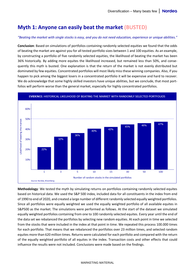## **Myth 1: Anyone can easily beat the market** (BUSTED)

## *"Beating the market with single stocks is easy, and you do not need education, experience or unique abilities."*

**Conclusion**: Based on simulations of portfolios containing randomly selected equities we found that the odds of beating the market are against you for all tested portfolio sizes between 1 and 100 equities. As an example, by constructing a portfolio of five randomly selected equities, the likelihood of beating the market has been 36% historically. By adding more equites the likelihood increased, but remained less than 50%, and consequently this myth is busted. One explanation is that the return of the market is not evenly distributed but dominated by few equities. Concentrated portfolios will most likely miss these winning companies. Also, if you happen to pick among the biggest losers in a concentrated portfolio it will be expensive and hard to recover. We do acknowledge that some highly skilled investors have unique abilities, but we conclude, that most portfolios will perform worse than the general market, especially for highly concentrated portfolios.



**Methodology**: We tested the myth by simulating returns on portfolios containing randomly selected equites based on historical data. We used the S&P 500 index, included data for all constituents in the index from end of 1990 to end of 2020, and created a large number of different randomly selected equally weighted portfolios. Since all portfolios were equally weighted we used the equally weighted portfolio of all available equites in S&P500 as the market. The simulations were performed as follows. At the start of the dataset we simulated equally weighted portfolios containing from one to 100 randomly selected equites. Every year until the end of the data set we rebalanced the portfolios by selecting new random equities. At each point in time we selected from the stocks that were included in the index at that point in time. We repeated this process 100.000 times for each portfolio. That means that we rebalanced the portfolios over 23 million times, and selected random equites more than 620 million times. Returns were calculated for each portfolio and compared with the return of the equally weighted portfolio of all equites in the index. Transaction costs and other effects that could influence the results were not included. Conclusions were made based on the findings.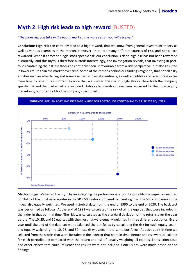## **Myth 2: High risk leads to high reward** (BUSTED)

### *"The more risk you take in the equity market, the more return you will receive."*

**Conclusion**: High risk can certainly lead to a high reward, that we know from general investment theory as well as various examples in the market. However, there are many different sources of risk, and not all are rewarded. When it comes to single stock specific risk, our conclusion is clear, high risk has not been rewarded historically, and this myth is therefore busted! Interestingly, the investigation reveals, that investing in portfolios containing the riskiest stocks has not only been unfavourable from a risk perspective, but also resulted in lower return than the market over time. Some of the reasons behind our findings might be, that not all risky equities recover after falling and some even seize to exist eventually, as well as bubbles and overpricing occur from time to time. It is important to note that we studied the risk in single stocks. Here both the company specific risk and the market risk are included. Historically, investors have been rewarded for the broad equity market risk, but often not for the company specific risk.



**Methodology**: We tested the myth by investigating the performance of portfolios holding an equally weighted portfolio of the most risky equites in the S&P 500 index compared to investing in all the 500 companies in the index, also equally weighted. We used historical data from the end of 1990 to the end of 2020. The back test was performed as follows. At the end of 1991 we calculated the risk of all the equities that were included in the index in that point in time. The risk was calculated as the standard deviation of the returns over the year before. The 10, 25, and 50 equites with the most risk were equally weighted in three different portfolios. Every year until the end of the data set we rebalanced the portfolios by calculating the risk for each equity again, and equally weighting the 10, 25, and 50 most risky assets in the same portfolios. At each point in time we selected from the stocks that were included in the index at that point in time. Return and risk were calculated for each portfolio and compared with the return and risk of equally weighting all equites. Transaction costs and other effects that could influence the results were not included. Conclusions were made based on the findings.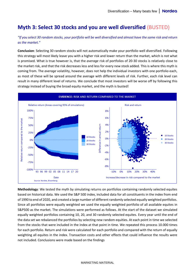## **Myth 3: Select 30 stocks and you are well diversified** (BUSTED)

*"If you select 30 random stocks, your portfolio will be well diversified and almost have the same risk and return as the market."*

**Conclusion**: Selecting 30 random stocks will not automatically make your portfolio well diversified. Following this strategy will most likely leave you with a higher risk and lower return than the market, which is not what is promised. What is true however is, that the *average* risk of portfolios of 20-30 stocks is relatively close to the market risk, and that the risk decreases less and less for every new stock added. This is where this myth is coming from. The *average* volatility, however, does not help the individual investors with one portfolio each, as most of these will be spread around the average with different levels of risk. Further, each risk level can result in many different level of returns. We conclude that most investors will be worse off by following this strategy instead of buying the broad equity market, and the myth is busted!



**Methodology**: We tested the myth by simulating returns on portfolios containing randomly selected equites based on historical data. We used the S&P 500 index, included data for all constituents in the index from end of 1990 to end of 2020, and created a large number of different randomly selected equally weighted portfolios. Since all portfolios were equally weighted we used the equally weighted portfolio of all available equites in S&P500 as the market. The simulations were performed as follows. At the start of the dataset we simulated equally weighted portfolios containing 10, 20, and 30 randomly selected equites. Every year until the end of the data set we rebalanced the portfolios by selecting new random equities. At each point in time we selected from the stocks that were included in the index at that point in time. We repeated this process 10.000 times for each portfolio. Return and risk were calculated for each portfolio and compared with the return of equally weighting all equites in the index. Transaction costs and other effects that could influence the results were not included. Conclusions were made based on the findings